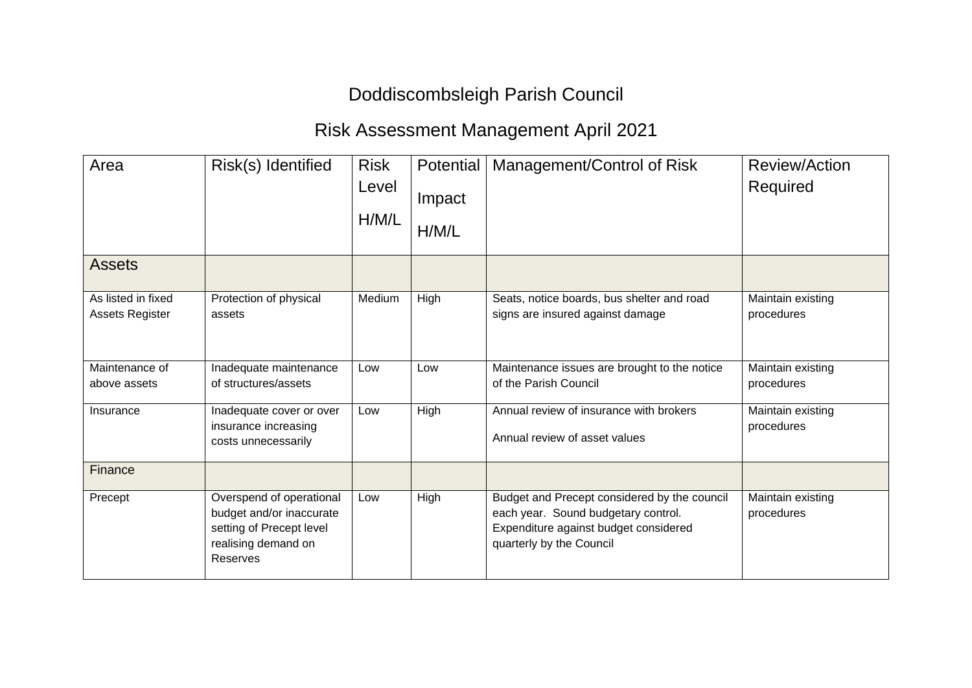## Doddiscombsleigh Parish Council

## Risk Assessment Management April 2021

| Area                                  | Risk(s) Identified                                                                                                  | <b>Risk</b><br>Level<br>H/M/L | Potential<br>Impact<br>H/M/L | Management/Control of Risk                                                                                                                               | Review/Action<br>Required       |
|---------------------------------------|---------------------------------------------------------------------------------------------------------------------|-------------------------------|------------------------------|----------------------------------------------------------------------------------------------------------------------------------------------------------|---------------------------------|
| <b>Assets</b>                         |                                                                                                                     |                               |                              |                                                                                                                                                          |                                 |
| As listed in fixed<br>Assets Register | Protection of physical<br>assets                                                                                    | Medium                        | High                         | Seats, notice boards, bus shelter and road<br>signs are insured against damage                                                                           | Maintain existing<br>procedures |
| Maintenance of<br>above assets        | Inadequate maintenance<br>of structures/assets                                                                      | Low                           | Low                          | Maintenance issues are brought to the notice<br>of the Parish Council                                                                                    | Maintain existing<br>procedures |
| Insurance                             | Inadequate cover or over<br>insurance increasing<br>costs unnecessarily                                             | Low                           | High                         | Annual review of insurance with brokers<br>Annual review of asset values                                                                                 | Maintain existing<br>procedures |
| Finance                               |                                                                                                                     |                               |                              |                                                                                                                                                          |                                 |
| Precept                               | Overspend of operational<br>budget and/or inaccurate<br>setting of Precept level<br>realising demand on<br>Reserves | Low                           | High                         | Budget and Precept considered by the council<br>each year. Sound budgetary control.<br>Expenditure against budget considered<br>quarterly by the Council | Maintain existing<br>procedures |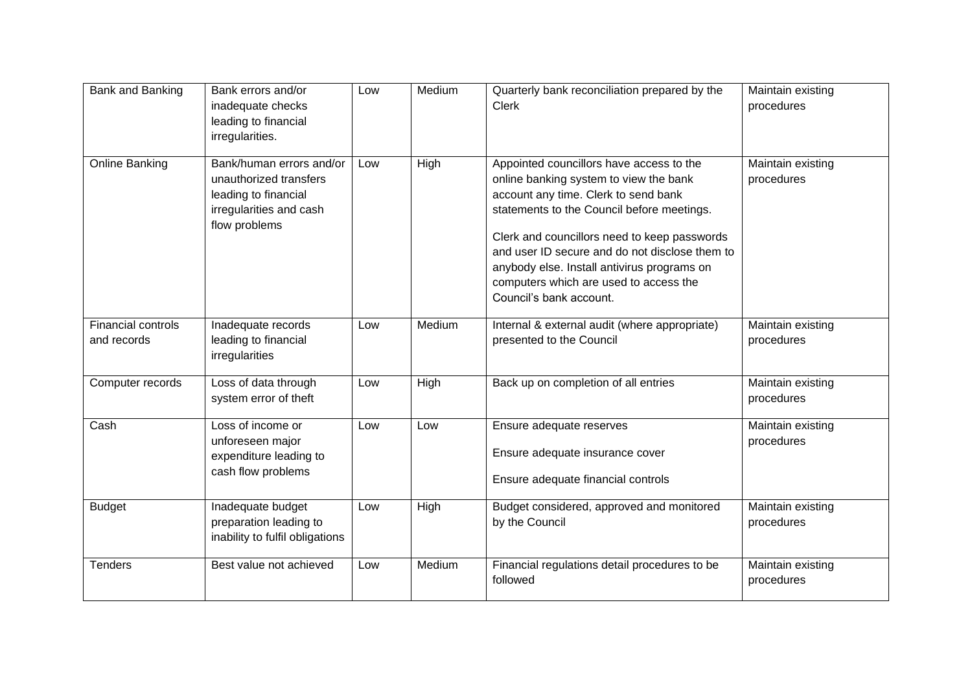| Bank and Banking                         | Bank errors and/or<br>inadequate checks<br>leading to financial<br>irregularities.                                     | Low | Medium | Quarterly bank reconciliation prepared by the<br><b>Clerk</b>                                                                                                                                                                                                                                                                                                                                  | Maintain existing<br>procedures |
|------------------------------------------|------------------------------------------------------------------------------------------------------------------------|-----|--------|------------------------------------------------------------------------------------------------------------------------------------------------------------------------------------------------------------------------------------------------------------------------------------------------------------------------------------------------------------------------------------------------|---------------------------------|
| <b>Online Banking</b>                    | Bank/human errors and/or<br>unauthorized transfers<br>leading to financial<br>irregularities and cash<br>flow problems | Low | High   | Appointed councillors have access to the<br>online banking system to view the bank<br>account any time. Clerk to send bank<br>statements to the Council before meetings.<br>Clerk and councillors need to keep passwords<br>and user ID secure and do not disclose them to<br>anybody else. Install antivirus programs on<br>computers which are used to access the<br>Council's bank account. | Maintain existing<br>procedures |
| <b>Financial controls</b><br>and records | Inadequate records<br>leading to financial<br>irregularities                                                           | Low | Medium | Internal & external audit (where appropriate)<br>presented to the Council                                                                                                                                                                                                                                                                                                                      | Maintain existing<br>procedures |
| Computer records                         | Loss of data through<br>system error of theft                                                                          | Low | High   | Back up on completion of all entries                                                                                                                                                                                                                                                                                                                                                           | Maintain existing<br>procedures |
| Cash                                     | Loss of income or<br>unforeseen major<br>expenditure leading to<br>cash flow problems                                  | Low | Low    | Ensure adequate reserves<br>Ensure adequate insurance cover<br>Ensure adequate financial controls                                                                                                                                                                                                                                                                                              | Maintain existing<br>procedures |
| <b>Budget</b>                            | Inadequate budget<br>preparation leading to<br>inability to fulfil obligations                                         | Low | High   | Budget considered, approved and monitored<br>by the Council                                                                                                                                                                                                                                                                                                                                    | Maintain existing<br>procedures |
| <b>Tenders</b>                           | Best value not achieved                                                                                                | Low | Medium | Financial regulations detail procedures to be<br>followed                                                                                                                                                                                                                                                                                                                                      | Maintain existing<br>procedures |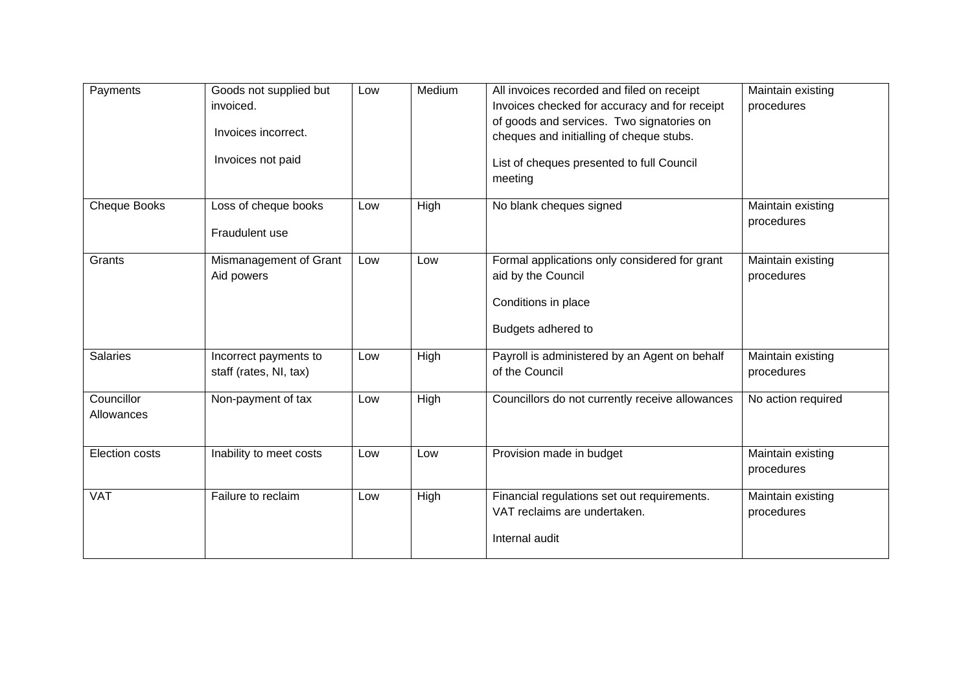| Payments                 | Goods not supplied but<br>invoiced.<br>Invoices incorrect.<br>Invoices not paid | Low | Medium | All invoices recorded and filed on receipt<br>Invoices checked for accuracy and for receipt<br>of goods and services. Two signatories on<br>cheques and initialling of cheque stubs.<br>List of cheques presented to full Council<br>meeting | Maintain existing<br>procedures |
|--------------------------|---------------------------------------------------------------------------------|-----|--------|----------------------------------------------------------------------------------------------------------------------------------------------------------------------------------------------------------------------------------------------|---------------------------------|
| Cheque Books             | Loss of cheque books<br>Fraudulent use                                          | Low | High   | No blank cheques signed                                                                                                                                                                                                                      | Maintain existing<br>procedures |
| Grants                   | Mismanagement of Grant<br>Aid powers                                            | Low | Low    | Formal applications only considered for grant<br>aid by the Council<br>Conditions in place<br>Budgets adhered to                                                                                                                             | Maintain existing<br>procedures |
| <b>Salaries</b>          | Incorrect payments to<br>staff (rates, NI, tax)                                 | Low | High   | Payroll is administered by an Agent on behalf<br>of the Council                                                                                                                                                                              | Maintain existing<br>procedures |
| Councillor<br>Allowances | Non-payment of tax                                                              | Low | High   | Councillors do not currently receive allowances                                                                                                                                                                                              | No action required              |
| Election costs           | Inability to meet costs                                                         | Low | Low    | Provision made in budget                                                                                                                                                                                                                     | Maintain existing<br>procedures |
| <b>VAT</b>               | Failure to reclaim                                                              | Low | High   | Financial regulations set out requirements.<br>VAT reclaims are undertaken.<br>Internal audit                                                                                                                                                | Maintain existing<br>procedures |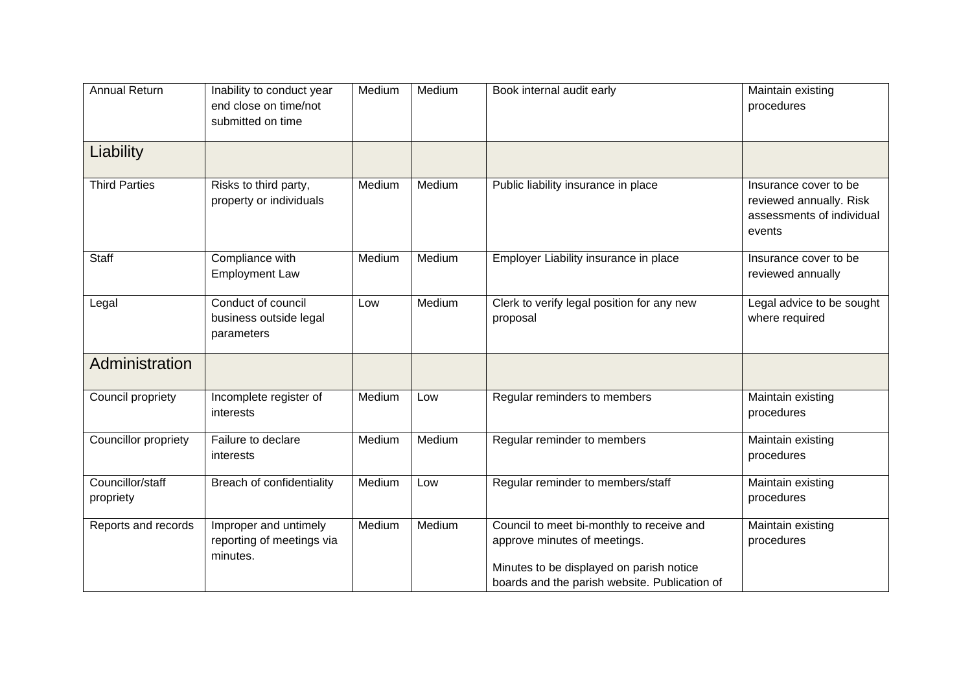| <b>Annual Return</b> |                           | Medium | Medium |                                               |                           |
|----------------------|---------------------------|--------|--------|-----------------------------------------------|---------------------------|
|                      | Inability to conduct year |        |        | Book internal audit early                     | Maintain existing         |
|                      | end close on time/not     |        |        |                                               | procedures                |
|                      | submitted on time         |        |        |                                               |                           |
|                      |                           |        |        |                                               |                           |
| Liability            |                           |        |        |                                               |                           |
|                      |                           |        |        |                                               |                           |
| <b>Third Parties</b> | Risks to third party,     | Medium | Medium | Public liability insurance in place           | Insurance cover to be     |
|                      | property or individuals   |        |        |                                               | reviewed annually. Risk   |
|                      |                           |        |        |                                               |                           |
|                      |                           |        |        |                                               | assessments of individual |
|                      |                           |        |        |                                               | events                    |
| Staff                | Compliance with           | Medium | Medium | Employer Liability insurance in place         | Insurance cover to be     |
|                      |                           |        |        |                                               |                           |
|                      | <b>Employment Law</b>     |        |        |                                               | reviewed annually         |
| Legal                | Conduct of council        | Low    | Medium | Clerk to verify legal position for any new    | Legal advice to be sought |
|                      | business outside legal    |        |        | proposal                                      | where required            |
|                      |                           |        |        |                                               |                           |
|                      | parameters                |        |        |                                               |                           |
| Administration       |                           |        |        |                                               |                           |
|                      |                           |        |        |                                               |                           |
|                      |                           |        |        |                                               |                           |
| Council propriety    | Incomplete register of    | Medium | Low    | Regular reminders to members                  | Maintain existing         |
|                      | interests                 |        |        |                                               | procedures                |
| Councillor propriety | Failure to declare        | Medium | Medium | Regular reminder to members                   | Maintain existing         |
|                      | interests                 |        |        |                                               | procedures                |
|                      |                           |        |        |                                               |                           |
| Councillor/staff     | Breach of confidentiality | Medium | Low    | Regular reminder to members/staff             | Maintain existing         |
| propriety            |                           |        |        |                                               | procedures                |
|                      |                           |        |        |                                               |                           |
| Reports and records  | Improper and untimely     | Medium | Medium | Council to meet bi-monthly to receive and     | Maintain existing         |
|                      | reporting of meetings via |        |        | approve minutes of meetings.                  | procedures                |
|                      | minutes.                  |        |        |                                               |                           |
|                      |                           |        |        | Minutes to be displayed on parish notice      |                           |
|                      |                           |        |        | boards and the parish website. Publication of |                           |